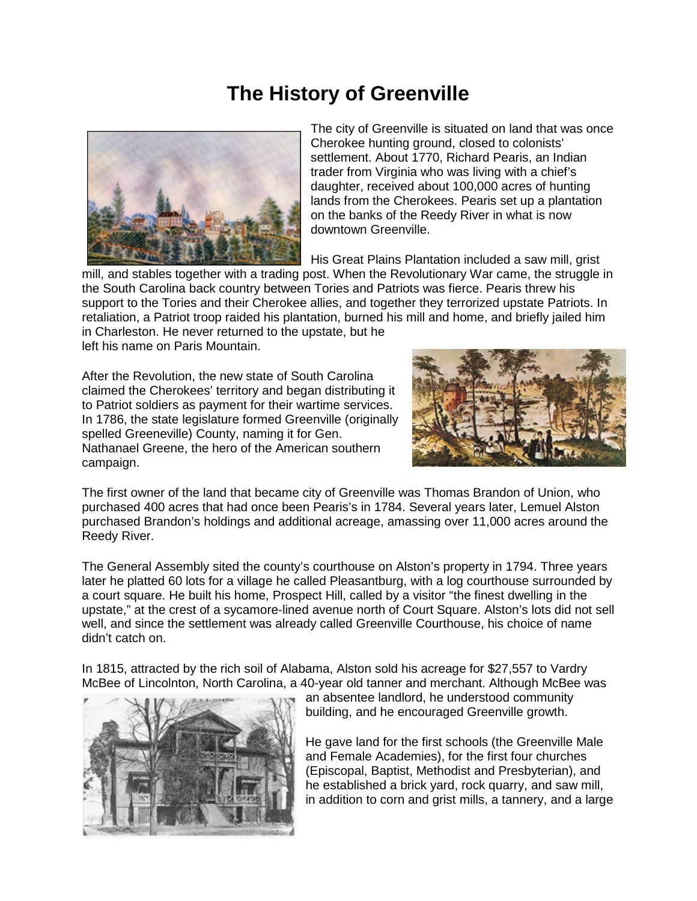## **The History of Greenville**



The city of Greenville is situated on land that was once Cherokee hunting ground, closed to colonists' settlement. About 1770, Richard Pearis, an Indian trader from Virginia who was living with a chief's daughter, received about 100,000 acres of hunting lands from the Cherokees. Pearis set up a plantation on the banks of the Reedy River in what is now downtown Greenville.

His Great Plains Plantation included a saw mill, grist

mill, and stables together with a trading post. When the Revolutionary War came, the struggle in the South Carolina back country between Tories and Patriots was fierce. Pearis threw his support to the Tories and their Cherokee allies, and together they terrorized upstate Patriots. In retaliation, a Patriot troop raided his plantation, burned his mill and home, and briefly jailed him in Charleston. He never returned to the upstate, but he left his name on Paris Mountain.

After the Revolution, the new state of South Carolina claimed the Cherokees' territory and began distributing it to Patriot soldiers as payment for their wartime services. In 1786, the state legislature formed Greenville (originally spelled Greeneville) County, naming it for Gen. Nathanael Greene, the hero of the American southern campaign.



The first owner of the land that became city of Greenville was Thomas Brandon of Union, who purchased 400 acres that had once been Pearis's in 1784. Several years later, Lemuel Alston purchased Brandon's holdings and additional acreage, amassing over 11,000 acres around the Reedy River.

The General Assembly sited the county's courthouse on Alston's property in 1794. Three years later he platted 60 lots for a village he called Pleasantburg, with a log courthouse surrounded by a court square. He built his home, Prospect Hill, called by a visitor "the finest dwelling in the upstate," at the crest of a sycamore-lined avenue north of Court Square. Alston's lots did not sell well, and since the settlement was already called Greenville Courthouse, his choice of name didn't catch on.

In 1815, attracted by the rich soil of Alabama, Alston sold his acreage for \$27,557 to Vardry McBee of Lincolnton, North Carolina, a 40-year old tanner and merchant. Although McBee was



an absentee landlord, he understood community building, and he encouraged Greenville growth.

He gave land for the first schools (the Greenville Male and Female Academies), for the first four churches (Episcopal, Baptist, Methodist and Presbyterian), and he established a brick yard, rock quarry, and saw mill, in addition to corn and grist mills, a tannery, and a large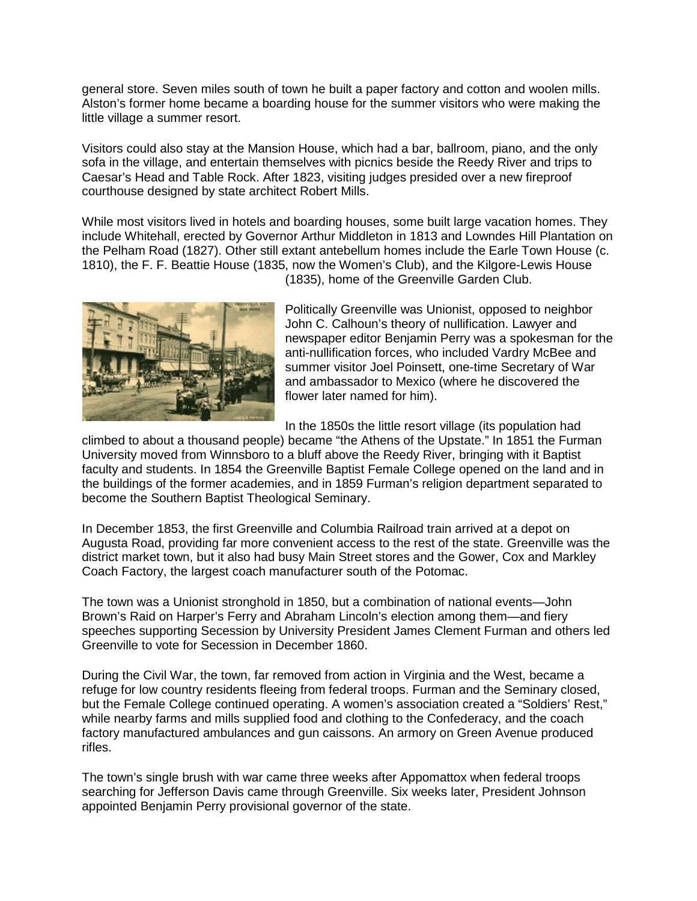general store. Seven miles south of town he built a paper factory and cotton and woolen mills. Alston's former home became a boarding house for the summer visitors who were making the little village a summer resort.

Visitors could also stay at the Mansion House, which had a bar, ballroom, piano, and the only sofa in the village, and entertain themselves with picnics beside the Reedy River and trips to Caesar's Head and Table Rock. After 1823, visiting judges presided over a new fireproof courthouse designed by state architect Robert Mills.

While most visitors lived in hotels and boarding houses, some built large vacation homes. They include Whitehall, erected by Governor Arthur Middleton in 1813 and Lowndes Hill Plantation on the Pelham Road (1827). Other still extant antebellum homes include the Earle Town House (c. 1810), the F. F. Beattie House (1835, now the Women's Club), and the Kilgore-Lewis House



(1835), home of the Greenville Garden Club.

Politically Greenville was Unionist, opposed to neighbor John C. Calhoun's theory of nullification. Lawyer and newspaper editor Benjamin Perry was a spokesman for the anti-nullification forces, who included Vardry McBee and summer visitor Joel Poinsett, one-time Secretary of War and ambassador to Mexico (where he discovered the flower later named for him).

In the 1850s the little resort village (its population had

climbed to about a thousand people) became "the Athens of the Upstate." In 1851 the Furman University moved from Winnsboro to a bluff above the Reedy River, bringing with it Baptist faculty and students. In 1854 the Greenville Baptist Female College opened on the land and in the buildings of the former academies, and in 1859 Furman's religion department separated to become the Southern Baptist Theological Seminary.

In December 1853, the first Greenville and Columbia Railroad train arrived at a depot on Augusta Road, providing far more convenient access to the rest of the state. Greenville was the district market town, but it also had busy Main Street stores and the Gower, Cox and Markley Coach Factory, the largest coach manufacturer south of the Potomac.

The town was a Unionist stronghold in 1850, but a combination of national events—John Brown's Raid on Harper's Ferry and Abraham Lincoln's election among them—and fiery speeches supporting Secession by University President James Clement Furman and others led Greenville to vote for Secession in December 1860.

During the Civil War, the town, far removed from action in Virginia and the West, became a refuge for low country residents fleeing from federal troops. Furman and the Seminary closed, but the Female College continued operating. A women's association created a "Soldiers' Rest," while nearby farms and mills supplied food and clothing to the Confederacy, and the coach factory manufactured ambulances and gun caissons. An armory on Green Avenue produced rifles.

The town's single brush with war came three weeks after Appomattox when federal troops searching for Jefferson Davis came through Greenville. Six weeks later, President Johnson appointed Benjamin Perry provisional governor of the state.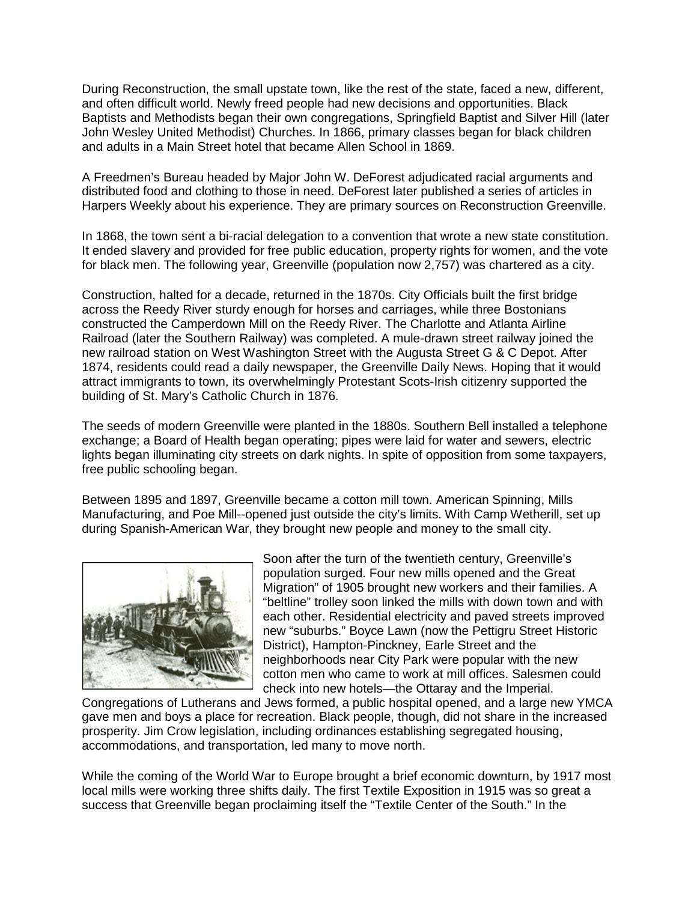During Reconstruction, the small upstate town, like the rest of the state, faced a new, different, and often difficult world. Newly freed people had new decisions and opportunities. Black Baptists and Methodists began their own congregations, Springfield Baptist and Silver Hill (later John Wesley United Methodist) Churches. In 1866, primary classes began for black children and adults in a Main Street hotel that became Allen School in 1869.

A Freedmen's Bureau headed by Major John W. DeForest adjudicated racial arguments and distributed food and clothing to those in need. DeForest later published a series of articles in Harpers Weekly about his experience. They are primary sources on Reconstruction Greenville.

In 1868, the town sent a bi-racial delegation to a convention that wrote a new state constitution. It ended slavery and provided for free public education, property rights for women, and the vote for black men. The following year, Greenville (population now 2,757) was chartered as a city.

Construction, halted for a decade, returned in the 1870s. City Officials built the first bridge across the Reedy River sturdy enough for horses and carriages, while three Bostonians constructed the Camperdown Mill on the Reedy River. The Charlotte and Atlanta Airline Railroad (later the Southern Railway) was completed. A mule-drawn street railway joined the new railroad station on West Washington Street with the Augusta Street G & C Depot. After 1874, residents could read a daily newspaper, the Greenville Daily News. Hoping that it would attract immigrants to town, its overwhelmingly Protestant Scots-Irish citizenry supported the building of St. Mary's Catholic Church in 1876.

The seeds of modern Greenville were planted in the 1880s. Southern Bell installed a telephone exchange; a Board of Health began operating; pipes were laid for water and sewers, electric lights began illuminating city streets on dark nights. In spite of opposition from some taxpayers, free public schooling began.

Between 1895 and 1897, Greenville became a cotton mill town. American Spinning, Mills Manufacturing, and Poe Mill--opened just outside the city's limits. With Camp Wetherill, set up during Spanish-American War, they brought new people and money to the small city.



Soon after the turn of the twentieth century, Greenville's population surged. Four new mills opened and the Great Migration" of 1905 brought new workers and their families. A "beltline" trolley soon linked the mills with down town and with each other. Residential electricity and paved streets improved new "suburbs." Boyce Lawn (now the Pettigru Street Historic District), Hampton-Pinckney, Earle Street and the neighborhoods near City Park were popular with the new cotton men who came to work at mill offices. Salesmen could check into new hotels—the Ottaray and the Imperial.

Congregations of Lutherans and Jews formed, a public hospital opened, and a large new YMCA gave men and boys a place for recreation. Black people, though, did not share in the increased prosperity. Jim Crow legislation, including ordinances establishing segregated housing, accommodations, and transportation, led many to move north.

While the coming of the World War to Europe brought a brief economic downturn, by 1917 most local mills were working three shifts daily. The first Textile Exposition in 1915 was so great a success that Greenville began proclaiming itself the "Textile Center of the South." In the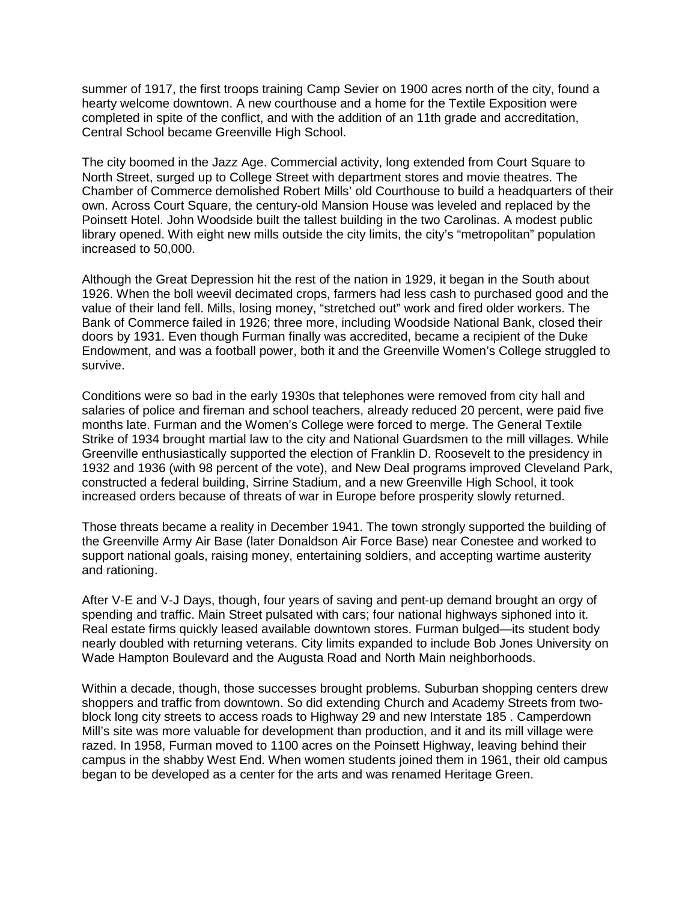summer of 1917, the first troops training Camp Sevier on 1900 acres north of the city, found a hearty welcome downtown. A new courthouse and a home for the Textile Exposition were completed in spite of the conflict, and with the addition of an 11th grade and accreditation, Central School became Greenville High School.

The city boomed in the Jazz Age. Commercial activity, long extended from Court Square to North Street, surged up to College Street with department stores and movie theatres. The Chamber of Commerce demolished Robert Mills' old Courthouse to build a headquarters of their own. Across Court Square, the century-old Mansion House was leveled and replaced by the Poinsett Hotel. John Woodside built the tallest building in the two Carolinas. A modest public library opened. With eight new mills outside the city limits, the city's "metropolitan" population increased to 50,000.

Although the Great Depression hit the rest of the nation in 1929, it began in the South about 1926. When the boll weevil decimated crops, farmers had less cash to purchased good and the value of their land fell. Mills, losing money, "stretched out" work and fired older workers. The Bank of Commerce failed in 1926; three more, including Woodside National Bank, closed their doors by 1931. Even though Furman finally was accredited, became a recipient of the Duke Endowment, and was a football power, both it and the Greenville Women's College struggled to survive.

Conditions were so bad in the early 1930s that telephones were removed from city hall and salaries of police and fireman and school teachers, already reduced 20 percent, were paid five months late. Furman and the Women's College were forced to merge. The General Textile Strike of 1934 brought martial law to the city and National Guardsmen to the mill villages. While Greenville enthusiastically supported the election of Franklin D. Roosevelt to the presidency in 1932 and 1936 (with 98 percent of the vote), and New Deal programs improved Cleveland Park, constructed a federal building, Sirrine Stadium, and a new Greenville High School, it took increased orders because of threats of war in Europe before prosperity slowly returned.

Those threats became a reality in December 1941. The town strongly supported the building of the Greenville Army Air Base (later Donaldson Air Force Base) near Conestee and worked to support national goals, raising money, entertaining soldiers, and accepting wartime austerity and rationing.

After V-E and V-J Days, though, four years of saving and pent-up demand brought an orgy of spending and traffic. Main Street pulsated with cars; four national highways siphoned into it. Real estate firms quickly leased available downtown stores. Furman bulged—its student body nearly doubled with returning veterans. City limits expanded to include Bob Jones University on Wade Hampton Boulevard and the Augusta Road and North Main neighborhoods.

Within a decade, though, those successes brought problems. Suburban shopping centers drew shoppers and traffic from downtown. So did extending Church and Academy Streets from twoblock long city streets to access roads to Highway 29 and new Interstate 185 . Camperdown Mill's site was more valuable for development than production, and it and its mill village were razed. In 1958, Furman moved to 1100 acres on the Poinsett Highway, leaving behind their campus in the shabby West End. When women students joined them in 1961, their old campus began to be developed as a center for the arts and was renamed Heritage Green.